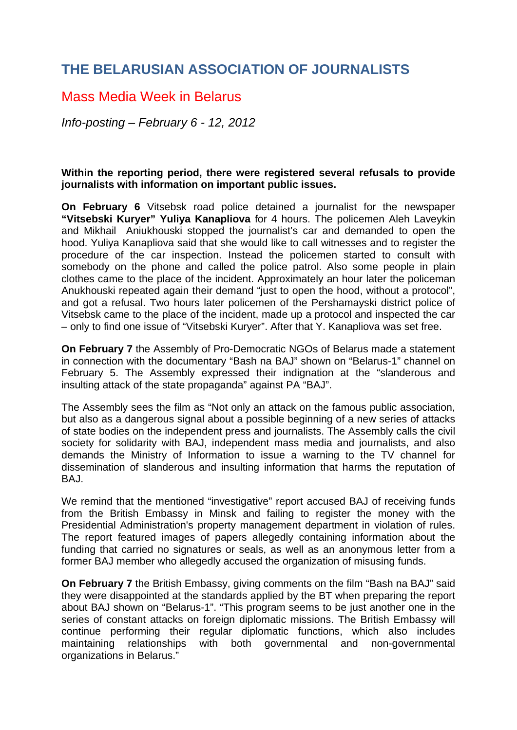## **THE BELARUSIAN ASSOCIATION OF JOURNALISTS**

## Mass Media Week in Belarus

*Info-posting – February 6 - 12, 2012* 

## **Within the reporting period, there were registered several refusals to provide journalists with information on important public issues.**

**On February 6** Vitsebsk road police detained a journalist for the newspaper **"Vitsebski Kuryer" Yuliya Kanapliova** for 4 hours. The policemen Aleh Laveykin and Mikhail Aniukhouski stopped the journalist's car and demanded to open the hood. Yuliya Kanapliova said that she would like to call witnesses and to register the procedure of the car inspection. Instead the policemen started to consult with somebody on the phone and called the police patrol. Also some people in plain clothes came to the place of the incident. Approximately an hour later the policeman Anukhouski repeated again their demand "just to open the hood, without a protocol", and got a refusal. Two hours later policemen of the Pershamayski district police of Vitsebsk came to the place of the incident, made up a protocol and inspected the car – only to find one issue of "Vitsebski Kuryer". After that Y. Kanapliova was set free.

**On February 7** the Assembly of Pro-Democratic NGOs of Belarus made a statement in connection with the documentary "Bash na BAJ" shown on "Belarus-1" channel on February 5. The Assembly expressed their indignation at the "slanderous and insulting attack of the state propaganda" against PA "BAJ".

The Assembly sees the film as "Not only an attack on the famous public association, but also as a dangerous signal about a possible beginning of a new series of attacks of state bodies on the independent press and journalists. The Assembly calls the civil society for solidarity with BAJ, independent mass media and journalists, and also demands the Ministry of Information to issue a warning to the TV channel for dissemination of slanderous and insulting information that harms the reputation of BAJ.

We remind that the mentioned "investigative" report accused BAJ of receiving funds from the British Embassy in Minsk and failing to register the money with the Presidential Administration's property management department in violation of rules. The report featured images of papers allegedly containing information about the funding that carried no signatures or seals, as well as an anonymous letter from a former BAJ member who allegedly accused the organization of misusing funds.

**On February 7** the British Embassy, giving comments on the film "Bash na BAJ" said they were disappointed at the standards applied by the BT when preparing the report about BAJ shown on "Belarus-1". "This program seems to be just another one in the series of constant attacks on foreign diplomatic missions. The British Embassy will continue performing their regular diplomatic functions, which also includes maintaining relationships with both governmental and non-governmental organizations in Belarus."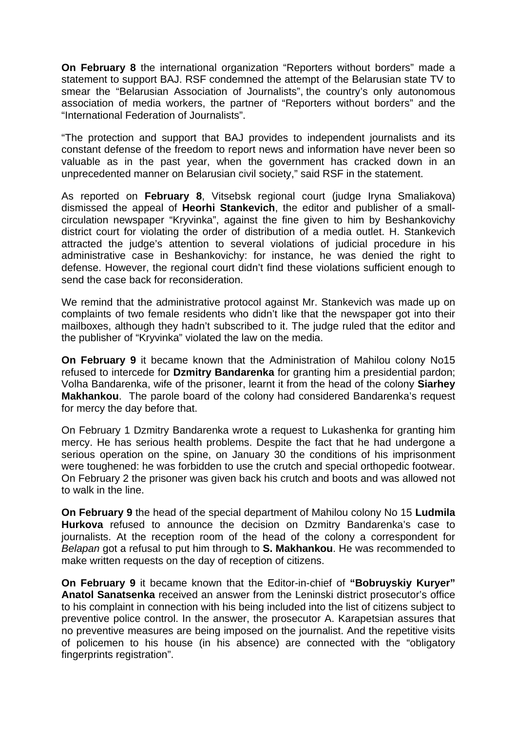**On February 8** the international organization "Reporters without borders" made a statement to support BAJ. RSF condemned the attempt of the Belarusian state TV to smear the "Belarusian Association of Journalists", the country's only autonomous association of media workers, the partner of "Reporters without borders" and the "International Federation of Journalists".

"The protection and support that BAJ provides to independent journalists and its constant defense of the freedom to report news and information have never been so valuable as in the past year, when the government has cracked down in an unprecedented manner on Belarusian civil society," said RSF in the statement.

As reported on **February 8**, Vitsebsk regional court (judge Iryna Smaliakova) dismissed the appeal of **Heorhi Stankevich**, the editor and publisher of a smallcirculation newspaper "Kryvinka", against the fine given to him by Beshankovichy district court for violating the order of distribution of a media outlet. H. Stankevich attracted the judge's attention to several violations of judicial procedure in his administrative case in Beshankovichy: for instance, he was denied the right to defense. However, the regional court didn't find these violations sufficient enough to send the case back for reconsideration.

We remind that the administrative protocol against Mr. Stankevich was made up on complaints of two female residents who didn't like that the newspaper got into their mailboxes, although they hadn't subscribed to it. The judge ruled that the editor and the publisher of "Kryvinka" violated the law on the media.

**On February 9** it became known that the Administration of Mahilou colony No15 refused to intercede for **Dzmitry Bandarenka** for granting him a presidential pardon; Volha Bandarenka, wife of the prisoner, learnt it from the head of the colony **Siarhey Makhankou**. The parole board of the colony had considered Bandarenka's request for mercy the day before that.

On February 1 Dzmitry Bandarenka wrote a request to Lukashenka for granting him mercy. He has serious health problems. Despite the fact that he had undergone a serious operation on the spine, on January 30 the conditions of his imprisonment were toughened: he was forbidden to use the crutch and special orthopedic footwear. On February 2 the prisoner was given back his crutch and boots and was allowed not to walk in the line.

**On February 9** the head of the special department of Mahilou colony No 15 **Ludmila Hurkova** refused to announce the decision on Dzmitry Bandarenka's case to journalists. At the reception room of the head of the colony a correspondent for *Belapan* got a refusal to put him through to **S. Makhankou**. He was recommended to make written requests on the day of reception of citizens.

**On February 9** it became known that the Editor-in-chief of **"Bobruyskiy Kuryer" Anatol Sanatsenka** received an answer from the Leninski district prosecutor's office to his complaint in connection with his being included into the list of citizens subject to preventive police control. In the answer, the prosecutor A. Karapetsian assures that no preventive measures are being imposed on the journalist. And the repetitive visits of policemen to his house (in his absence) are connected with the "obligatory fingerprints registration".